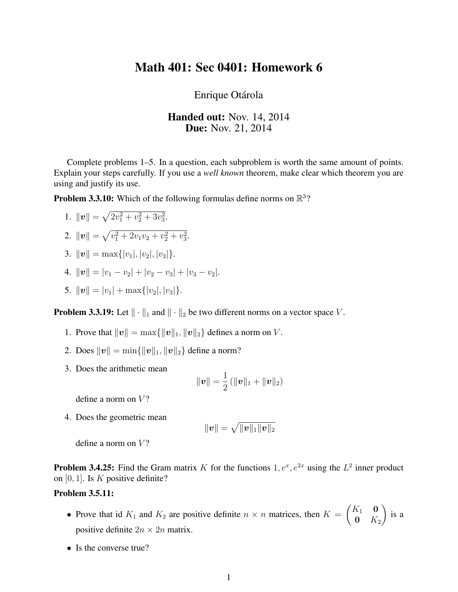## Math 401: Sec 0401: Homework 6

Enrique Otárola

## Handed out: Nov. 14, 2014 **Due:** Nov. 21, 2014

Complete problems 1–5. In a question, each subproblem is worth the same amount of points. Explain your steps carefully. If you use a *well known* theorem, make clear which theorem you are using and justify its use.

**Problem 3.3.10:** Which of the following formulas define norms on  $\mathbb{R}^3$ ?

1.  $\|\mathbf{v}\| = \sqrt{2v_1^2 + v_2^2 + 3v_3^2}$ .

2. 
$$
\|\boldsymbol{v}\| = \sqrt{v_1^2 + 2v_1v_2 + v_2^2 + v_3^2}
$$
.

- 3.  $\|\boldsymbol{v}\| = \max\{|v_1|, |v_2|, |v_3|\}.$
- 4.  $||v|| = |v_1 v_2| + |v_2 v_3| + |v_3 v_2|$ .
- 5.  $\|\boldsymbol{v}\| = |v_1| + \max\{|v_2|, |v_3|\}.$

**Problem 3.3.19:** Let  $\|\cdot\|_1$  and  $\|\cdot\|_2$  be two different norms on a vector space V.

- 1. Prove that  $\|\boldsymbol{v}\| = \max\{\|\boldsymbol{v}\|_1, \|\boldsymbol{v}\|_2\}$  defines a norm on V.
- 2. Does  $\|v\| = \min\{\|v\|_1, \|v\|_2\}$  define a norm?
- 3. Does the arithmetic mean

$$
\|\bm{v}\| = \frac{1}{2} \left(\|\bm{v}\|_1 + \|\bm{v}\|_2\right)
$$

define a norm on  $V$ ?

4. Does the geometric mean

$$
\|\bm{v}\| = \sqrt{\|\bm{v}\|_1 \|\bm{v}\|_2}
$$

define a norm on  $V$ ?

**Problem 3.4.25:** Find the Gram matrix K for the functions  $1, e^x, e^{2x}$  using the  $L^2$  inner product on  $[0, 1]$ . Is K positive definite?

## Problem 3.5.11:

- Prove that id  $K_1$  and  $K_2$  are positive definite  $n \times n$  matrices, then  $K =$  $\begin{pmatrix} K_1 & \mathbf{0} \end{pmatrix}$  $0\quad K_2$  $\setminus$ is a positive definite  $2n \times 2n$  matrix.
- Is the converse true?